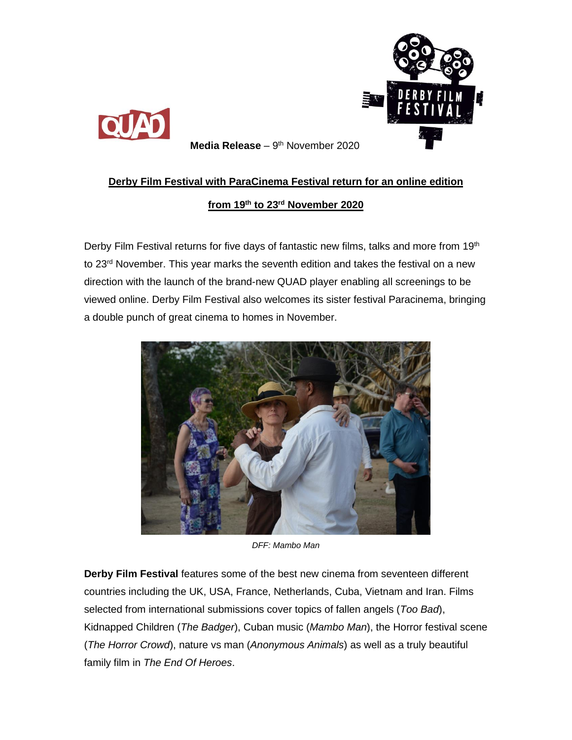



**Media Release** – 9<sup>th</sup> November 2020

## **Derby Film Festival with ParaCinema Festival return for an online edition**

## **from 19th to 23 rd November 2020**

Derby Film Festival returns for five days of fantastic new films, talks and more from 19<sup>th</sup> to 23<sup>rd</sup> November. This year marks the seventh edition and takes the festival on a new direction with the launch of the brand-new QUAD player enabling all screenings to be viewed online. Derby Film Festival also welcomes its sister festival Paracinema, bringing a double punch of great cinema to homes in November.



*DFF: Mambo Man*

**Derby Film Festival** features some of the best new cinema from seventeen different countries including the UK, USA, France, Netherlands, Cuba, Vietnam and Iran. Films selected from international submissions cover topics of fallen angels (*Too Bad*), Kidnapped Children (*The Badger*), Cuban music (*Mambo Man*), the Horror festival scene (*The Horror Crowd*), nature vs man (*Anonymous Animals*) as well as a truly beautiful family film in *The End Of Heroes*.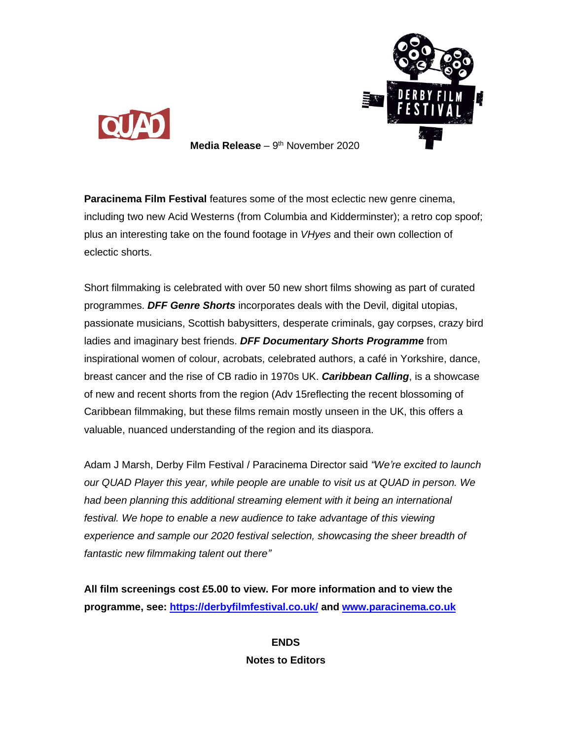



**Media Release** – 9<sup>th</sup> November 2020

**Paracinema Film Festival** features some of the most eclectic new genre cinema, including two new Acid Westerns (from Columbia and Kidderminster); a retro cop spoof; plus an interesting take on the found footage in *VHyes* and their own collection of eclectic shorts.

Short filmmaking is celebrated with over 50 new short films showing as part of curated programmes. *DFF Genre Shorts* incorporates deals with the Devil, digital utopias, passionate musicians, Scottish babysitters, desperate criminals, gay corpses, crazy bird ladies and imaginary best friends. *DFF Documentary Shorts Programme* from inspirational women of colour, acrobats, celebrated authors, a café in Yorkshire, dance, breast cancer and the rise of CB radio in 1970s UK. *Caribbean Calling*, is a showcase of new and recent shorts from the region (Adv 15reflecting the recent blossoming of Caribbean filmmaking, but these films remain mostly unseen in the UK, this offers a valuable, nuanced understanding of the region and its diaspora.

Adam J Marsh, Derby Film Festival / Paracinema Director said *"We're excited to launch our QUAD Player this year, while people are unable to visit us at QUAD in person. We had been planning this additional streaming element with it being an international festival. We hope to enable a new audience to take advantage of this viewing experience and sample our 2020 festival selection, showcasing the sheer breadth of fantastic new filmmaking talent out there"*

**All film screenings cost £5.00 to view. For more information and to view the programme, see:<https://derbyfilmfestival.co.uk/> and [www.paracinema.co.uk](http://www.paracinema.co.uk/)**

> **ENDS Notes to Editors**